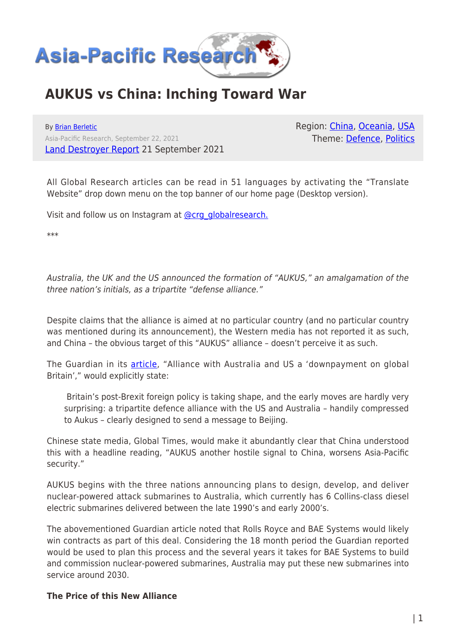

# **AUKUS vs China: Inching Toward War**

By [Brian Berletic](https://www.asia-pacificresearch.com/author/brian-berletic) Asia-Pacific Research, September 22, 2021 [Land Destroyer Report](https://landdestroyer.blogspot.com/2021/09/aukus-vs-china-inching-toward-war.html) 21 September 2021 Region: [China](https://www.asia-pacificresearch.com/region/china), [Oceania,](https://www.asia-pacificresearch.com/region/as-oceania) [USA](https://www.asia-pacificresearch.com/region/usa) Theme: [Defence,](https://www.asia-pacificresearch.com/theme/defence) [Politics](https://www.asia-pacificresearch.com/theme/politics)

All Global Research articles can be read in 51 languages by activating the "Translate Website" drop down menu on the top banner of our home page (Desktop version).

Visit and follow us on Instagram at [@crg\\_globalresearch.](https://www.instagram.com/crg_globalresearch/)

\*\*\*

Australia, the UK and the US announced the formation of "AUKUS," an amalgamation of the three nation's initials, as a tripartite "defense alliance."

Despite claims that the alliance is aimed at no particular country (and no particular country was mentioned during its announcement), the Western media has not reported it as such, and China – the obvious target of this "AUKUS" alliance – doesn't perceive it as such.

The Guardian in its **[article](https://www.theguardian.com/politics/2021/sep/15/alliance-with-australia-and-us-a-downpayment-on-global-britain)**, "Alliance with Australia and US a 'downpayment on global Britain'," would explicitly state:

 Britain's post-Brexit foreign policy is taking shape, and the early moves are hardly very surprising: a tripartite defence alliance with the US and Australia – handily compressed to Aukus – clearly designed to send a message to Beijing.

Chinese state media, Global Times, would make it abundantly clear that China understood this with a headline reading, "AUKUS another hostile signal to China, worsens Asia-Pacific security."

AUKUS begins with the three nations announcing plans to design, develop, and deliver nuclear-powered attack submarines to Australia, which currently has 6 Collins-class diesel electric submarines delivered between the late 1990's and early 2000's.

The abovementioned Guardian article noted that Rolls Royce and BAE Systems would likely win contracts as part of this deal. Considering the 18 month period the Guardian reported would be used to plan this process and the several years it takes for BAE Systems to build and commission nuclear-powered submarines, Australia may put these new submarines into service around 2030.

### **The Price of this New Alliance**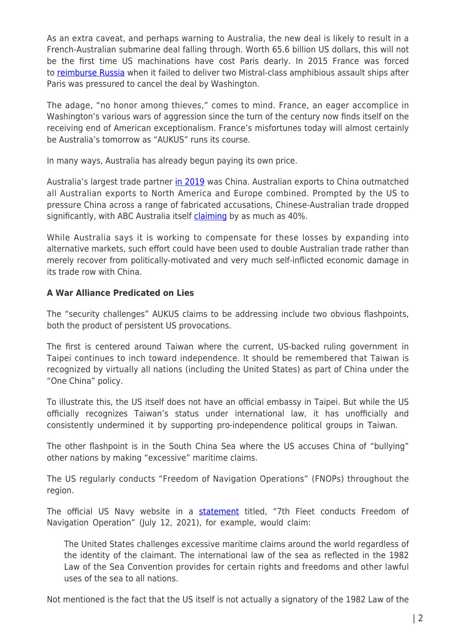As an extra caveat, and perhaps warning to Australia, the new deal is likely to result in a French-Australian submarine deal falling through. Worth 65.6 billion US dollars, this will not be the first time US machinations have cost Paris dearly. In 2015 France was forced to [reimburse Russia](https://www.france24.com/en/20150805-hollande-putin-agree-compensation-cancelled-mistral-deal) when it failed to deliver two Mistral-class amphibious assault ships after Paris was pressured to cancel the deal by Washington.

The adage, "no honor among thieves," comes to mind. France, an eager accomplice in Washington's various wars of aggression since the turn of the century now finds itself on the receiving end of American exceptionalism. France's misfortunes today will almost certainly be Australia's tomorrow as "AUKUS" runs its course.

In many ways, Australia has already begun paying its own price.

Australia's largest trade partner [in 2019](https://atlas.cid.harvard.edu/explore?country=14&product=undefined&year=2019&tradeDirection=import&productClass=HS&target=Partner&partner=undefined&startYear=undefined) was China. Australian exports to China outmatched all Australian exports to North America and Europe combined. Prompted by the US to pressure China across a range of fabricated accusations, Chinese-Australian trade dropped significantly, with ABC Australia itself [claiming](https://www.abc.net.au/news/2021-03-25/australian-trade-with-china-plummets/100029910) by as much as 40%.

While Australia says it is working to compensate for these losses by expanding into alternative markets, such effort could have been used to double Australian trade rather than merely recover from politically-motivated and very much self-inflicted economic damage in its trade row with China.

# **A War Alliance Predicated on Lies**

The "security challenges" AUKUS claims to be addressing include two obvious flashpoints, both the product of persistent US provocations.

The first is centered around Taiwan where the current, US-backed ruling government in Taipei continues to inch toward independence. It should be remembered that Taiwan is recognized by virtually all nations (including the United States) as part of China under the "One China" policy.

To illustrate this, the US itself does not have an official embassy in Taipei. But while the US officially recognizes Taiwan's status under international law, it has unofficially and consistently undermined it by supporting pro-independence political groups in Taiwan.

The other flashpoint is in the South China Sea where the US accuses China of "bullying" other nations by making "excessive" maritime claims.

The US regularly conducts "Freedom of Navigation Operations" (FNOPs) throughout the region.

The official US Navy website in a **statement** titled, "7th Fleet conducts Freedom of Navigation Operation" (July 12, 2021), for example, would claim:

The United States challenges excessive maritime claims around the world regardless of the identity of the claimant. The international law of the sea as reflected in the 1982 Law of the Sea Convention provides for certain rights and freedoms and other lawful uses of the sea to all nations.

Not mentioned is the fact that the US itself is not actually a signatory of the 1982 Law of the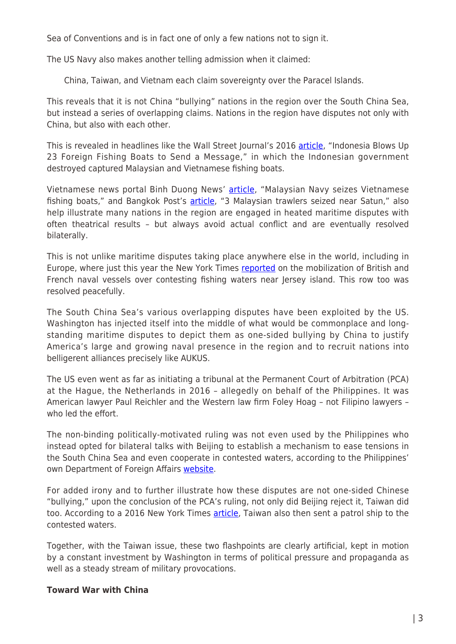Sea of Conventions and is in fact one of only a few nations not to sign it.

The US Navy also makes another telling admission when it claimed:

China, Taiwan, and Vietnam each claim sovereignty over the Paracel Islands.

This reveals that it is not China "bullying" nations in the region over the South China Sea, but instead a series of overlapping claims. Nations in the region have disputes not only with China, but also with each other.

This is revealed in headlines like the Wall Street Journal's 2016 [article](https://www.wsj.com/articles/indonesia-blows-up-23-foreign-fishing-boats-to-send-a-message-1459852007), "Indonesia Blows Up 23 Foreign Fishing Boats to Send a Message," in which the Indonesian government destroyed captured Malaysian and Vietnamese fishing boats.

Vietnamese news portal Binh Duong News' [article,](https://baobinhduong.vn/en/malaysian-navy-seizes-vietnamese-fishing-boats-a143103.html) "Malaysian Navy seizes Vietnamese fishing boats," and Bangkok Post's [article](https://www.bangkokpost.com/thailand/general/820904/3-malaysian-trawlers-seized-near-satun), "3 Malaysian trawlers seized near Satun," also help illustrate many nations in the region are engaged in heated maritime disputes with often theatrical results – but always avoid actual conflict and are eventually resolved bilaterally.

This is not unlike maritime disputes taking place anywhere else in the world, including in Europe, where just this year the New York Times [reported](https://www.nytimes.com/2021/05/06/world/europe/uk-france-jersey-fishing.html) on the mobilization of British and French naval vessels over contesting fishing waters near Jersey island. This row too was resolved peacefully.

The South China Sea's various overlapping disputes have been exploited by the US. Washington has injected itself into the middle of what would be commonplace and longstanding maritime disputes to depict them as one-sided bullying by China to justify America's large and growing naval presence in the region and to recruit nations into belligerent alliances precisely like AUKUS.

The US even went as far as initiating a tribunal at the Permanent Court of Arbitration (PCA) at the Hague, the Netherlands in 2016 – allegedly on behalf of the Philippines. It was American lawyer Paul Reichler and the Western law firm Foley Hoag – not Filipino lawyers – who led the effort.

The non-binding politically-motivated ruling was not even used by the Philippines who instead opted for bilateral talks with Beijing to establish a mechanism to ease tensions in the South China Sea and even cooperate in contested waters, according to the Philippines' own Department of Foreign Affairs [website.](https://dfa.gov.ph/dfa-news/dfa-releasesupdate/28997-philippines-china-convene-mechanism-to-ease-tensions-explore-cooperation-in-south-china-sea)

For added irony and to further illustrate how these disputes are not one-sided Chinese "bullying," upon the conclusion of the PCA's ruling, not only did Beijing reject it, Taiwan did too. According to a 2016 New York Times [article](https://www.nytimes.com/2016/07/14/world/asia/south-china-sea-taiwan.html), Taiwan also then sent a patrol ship to the contested waters.

Together, with the Taiwan issue, these two flashpoints are clearly artificial, kept in motion by a constant investment by Washington in terms of political pressure and propaganda as well as a steady stream of military provocations.

### **Toward War with China**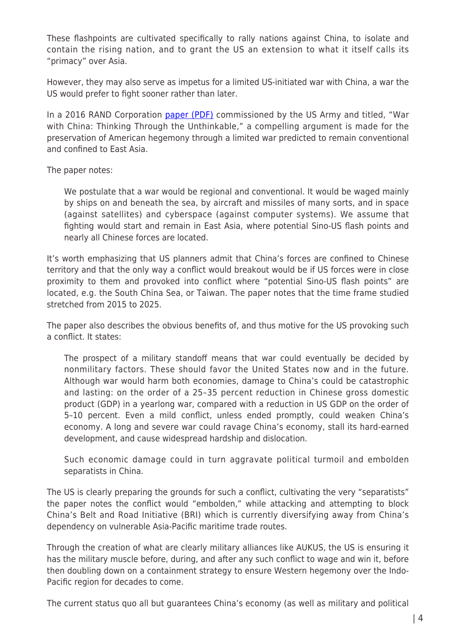These flashpoints are cultivated specifically to rally nations against China, to isolate and contain the rising nation, and to grant the US an extension to what it itself calls its "primacy" over Asia.

However, they may also serve as impetus for a limited US-initiated war with China, a war the US would prefer to fight sooner rather than later.

In a 2016 RAND Corporation [paper \(PDF\)](https://www.rand.org/content/dam/rand/pubs/research_reports/RR1100/RR1140/RAND_RR1140.pdf) commissioned by the US Army and titled, "War with China: Thinking Through the Unthinkable," a compelling argument is made for the preservation of American hegemony through a limited war predicted to remain conventional and confined to East Asia.

The paper notes:

We postulate that a war would be regional and conventional. It would be waged mainly by ships on and beneath the sea, by aircraft and missiles of many sorts, and in space (against satellites) and cyberspace (against computer systems). We assume that fighting would start and remain in East Asia, where potential Sino-US flash points and nearly all Chinese forces are located.

It's worth emphasizing that US planners admit that China's forces are confined to Chinese territory and that the only way a conflict would breakout would be if US forces were in close proximity to them and provoked into conflict where "potential Sino-US flash points" are located, e.g. the South China Sea, or Taiwan. The paper notes that the time frame studied stretched from 2015 to 2025.

The paper also describes the obvious benefits of, and thus motive for the US provoking such a conflict. It states:

The prospect of a military standoff means that war could eventually be decided by nonmilitary factors. These should favor the United States now and in the future. Although war would harm both economies, damage to China's could be catastrophic and lasting: on the order of a 25–35 percent reduction in Chinese gross domestic product (GDP) in a yearlong war, compared with a reduction in US GDP on the order of 5–10 percent. Even a mild conflict, unless ended promptly, could weaken China's economy. A long and severe war could ravage China's economy, stall its hard-earned development, and cause widespread hardship and dislocation.

Such economic damage could in turn aggravate political turmoil and embolden separatists in China.

The US is clearly preparing the grounds for such a conflict, cultivating the very "separatists" the paper notes the conflict would "embolden," while attacking and attempting to block China's Belt and Road Initiative (BRI) which is currently diversifying away from China's dependency on vulnerable Asia-Pacific maritime trade routes.

Through the creation of what are clearly military alliances like AUKUS, the US is ensuring it has the military muscle before, during, and after any such conflict to wage and win it, before then doubling down on a containment strategy to ensure Western hegemony over the Indo-Pacific region for decades to come.

The current status quo all but guarantees China's economy (as well as military and political